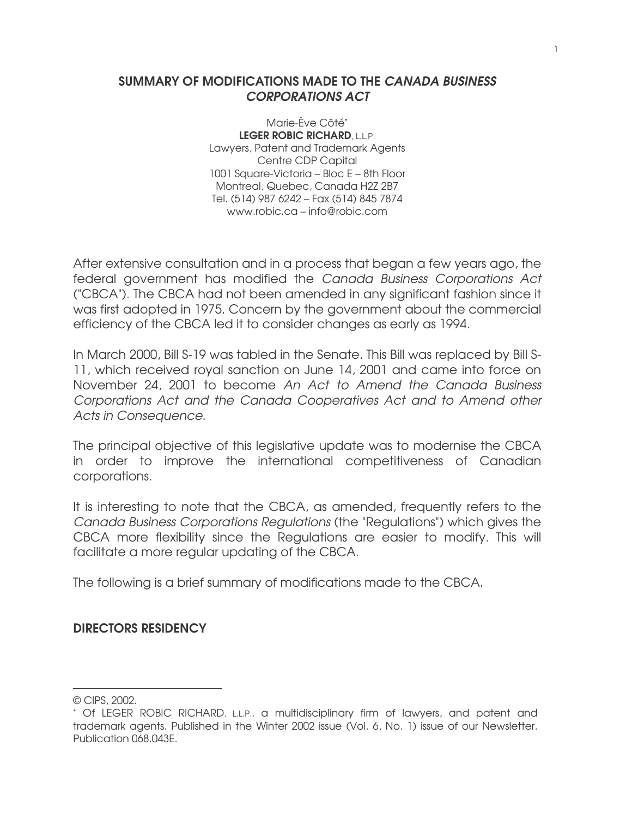### SUMMARY OF MODIFICATIONS MADE TO THE CANADA BUSINESS CORPORATIONS ACT

Marie-Ève Côté\* LEGER ROBIC RICHARD, L.L.P. Lawyers, Patent and Trademark Agents Centre CDP Capital 1001 Square-Victoria – Bloc E – 8th Floor Montreal, Quebec, Canada H2Z 2B7 Tel. (514) 987 6242 – Fax (514) 845 7874 www.robic.ca – info@robic.com

After extensive consultation and in a process that began a few years ago, the federal government has modified the Canada Business Corporations Act ("CBCA"). The CBCA had not been amended in any significant fashion since it was first adopted in 1975. Concern by the government about the commercial efficiency of the CBCA led it to consider changes as early as 1994.

In March 2000, Bill S-19 was tabled in the Senate. This Bill was replaced by Bill S-11, which received royal sanction on June 14, 2001 and came into force on November 24, 2001 to become An Act to Amend the Canada Business Corporations Act and the Canada Cooperatives Act and to Amend other Acts in Consequence.

The principal objective of this legislative update was to modernise the CBCA in order to improve the international competitiveness of Canadian corporations.

It is interesting to note that the CBCA, as amended, frequently refers to the Canada Business Corporations Regulations (the "Regulations") which gives the CBCA more flexibility since the Regulations are easier to modify. This will facilitate a more regular updating of the CBCA.

The following is a brief summary of modifications made to the CBCA.

### DIRECTORS RESIDENCY

 $\overline{a}$ 

<sup>©</sup> CIPS, 2002.

<sup>\*</sup> Of LEGER ROBIC RICHARD, L.L.P., a multidisciplinary firm of lawyers, and patent and trademark agents. Published in the Winter 2002 issue (Vol. 6, No. 1) issue of our Newsletter. Publication 068.043E.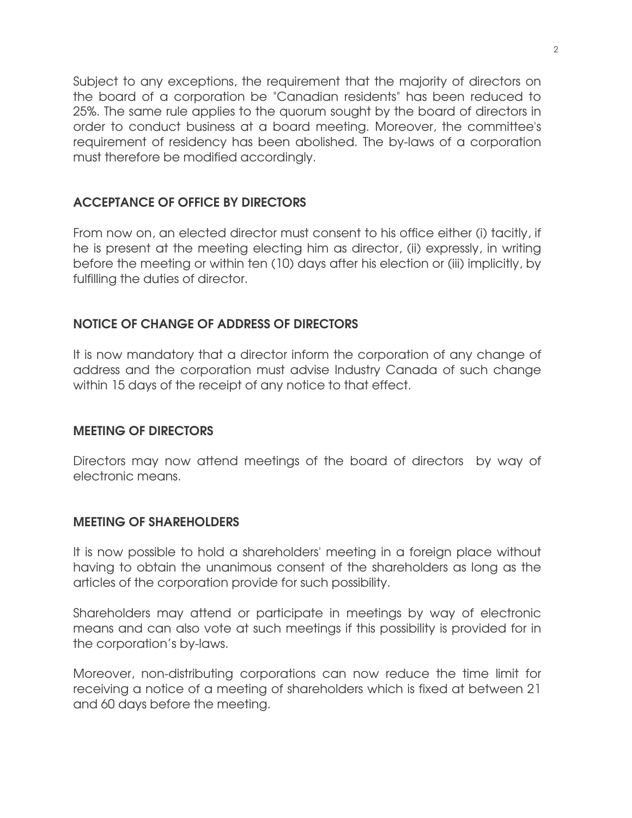Subject to any exceptions, the requirement that the majority of directors on the board of a corporation be "Canadian residents" has been reduced to 25%. The same rule applies to the quorum sought by the board of directors in order to conduct business at a board meeting. Moreover, the committee's requirement of residency has been abolished. The by-laws of a corporation must therefore be modified accordingly.

# ACCEPTANCE OF OFFICE BY DIRECTORS

From now on, an elected director must consent to his office either (i) tacitly, if he is present at the meeting electing him as director, (ii) expressly, in writing before the meeting or within ten (10) days after his election or (iii) implicitly, by fulfilling the duties of director.

# NOTICE OF CHANGE OF ADDRESS OF DIRECTORS

It is now mandatory that a director inform the corporation of any change of address and the corporation must advise Industry Canada of such change within 15 days of the receipt of any notice to that effect.

# MEETING OF DIRECTORS

Directors may now attend meetings of the board of directors by way of electronic means.

# MEETING OF SHAREHOLDERS

It is now possible to hold a shareholders' meeting in a foreign place without having to obtain the unanimous consent of the shareholders as long as the articles of the corporation provide for such possibility.

Shareholders may attend or participate in meetings by way of electronic means and can also vote at such meetings if this possibility is provided for in the corporation's by-laws.

Moreover, non-distributing corporations can now reduce the time limit for receiving a notice of a meeting of shareholders which is fixed at between 21 and 60 days before the meeting.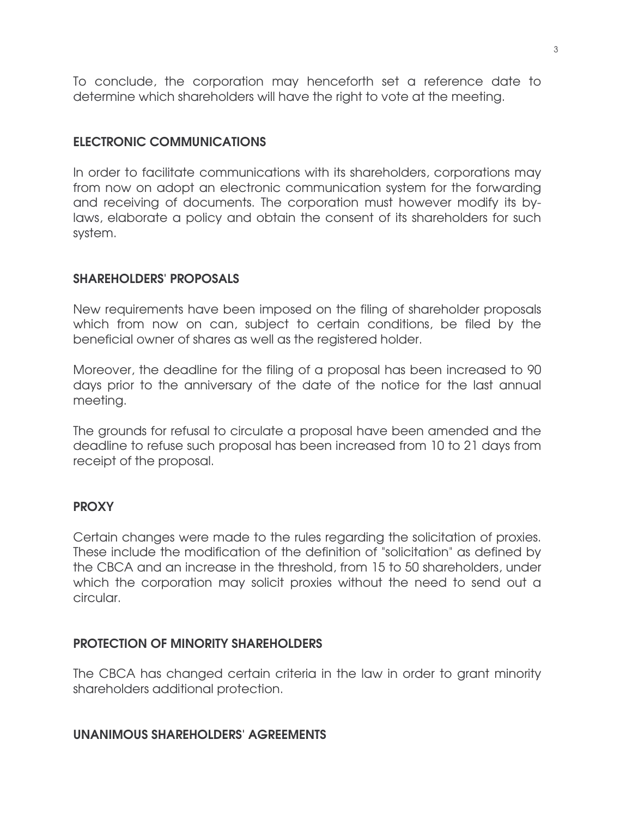To conclude, the corporation may henceforth set a reference date to determine which shareholders will have the right to vote at the meeting.

# ELECTRONIC COMMUNICATIONS

In order to facilitate communications with its shareholders, corporations may from now on adopt an electronic communication system for the forwarding and receiving of documents. The corporation must however modify its bylaws, elaborate a policy and obtain the consent of its shareholders for such system.

# SHAREHOLDERS' PROPOSALS

New requirements have been imposed on the filing of shareholder proposals which from now on can, subject to certain conditions, be filed by the beneficial owner of shares as well as the registered holder.

Moreover, the deadline for the filing of a proposal has been increased to 90 days prior to the anniversary of the date of the notice for the last annual meeting.

The grounds for refusal to circulate a proposal have been amended and the deadline to refuse such proposal has been increased from 10 to 21 days from receipt of the proposal.

# **PROXY**

Certain changes were made to the rules regarding the solicitation of proxies. These include the modification of the definition of "solicitation" as defined by the CBCA and an increase in the threshold, from 15 to 50 shareholders, under which the corporation may solicit proxies without the need to send out a circular.

# PROTECTION OF MINORITY SHAREHOLDERS

The CBCA has changed certain criteria in the law in order to grant minority shareholders additional protection.

# UNANIMOUS SHAREHOLDERS' AGREEMENTS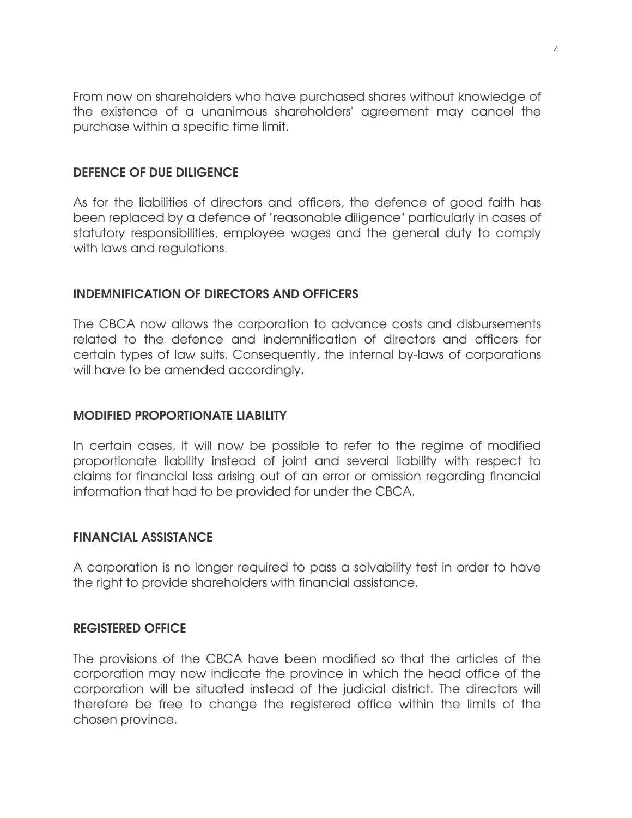From now on shareholders who have purchased shares without knowledge of the existence of a unanimous shareholders' agreement may cancel the purchase within a specific time limit.

# DEFENCE OF DUE DILIGENCE

As for the liabilities of directors and officers, the defence of good faith has been replaced by a defence of "reasonable diligence" particularly in cases of statutory responsibilities, employee wages and the general duty to comply with laws and regulations.

### INDEMNIFICATION OF DIRECTORS AND OFFICERS

The CBCA now allows the corporation to advance costs and disbursements related to the defence and indemnification of directors and officers for certain types of law suits. Consequently, the internal by-laws of corporations will have to be amended accordingly.

## MODIFIED PROPORTIONATE LIABILITY

In certain cases, it will now be possible to refer to the regime of modified proportionate liability instead of joint and several liability with respect to claims for financial loss arising out of an error or omission regarding financial information that had to be provided for under the CBCA.

### FINANCIAL ASSISTANCE

A corporation is no longer required to pass a solvability test in order to have the right to provide shareholders with financial assistance.

### REGISTERED OFFICE

The provisions of the CBCA have been modified so that the articles of the corporation may now indicate the province in which the head office of the corporation will be situated instead of the judicial district. The directors will therefore be free to change the registered office within the limits of the chosen province.